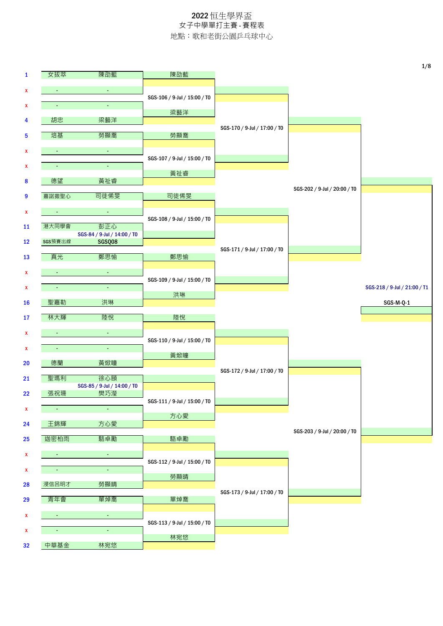| $\mathbf{1}$<br>X  | 女拔萃            | 陳劭藍                         | 陳劭藍                          |                              |                              |                              |
|--------------------|----------------|-----------------------------|------------------------------|------------------------------|------------------------------|------------------------------|
|                    |                |                             |                              |                              |                              |                              |
|                    | $\blacksquare$ | $\blacksquare$              |                              |                              |                              |                              |
| X                  | $\blacksquare$ | $\omega_{\rm c}$            | SGS-106 / 9-Jul / 15:00 / T0 |                              |                              |                              |
| 4                  | 胡忠             | 梁藝洋                         | 梁藝洋                          |                              |                              |                              |
|                    | 培基             | 勞顯喬                         | 勞顯喬                          | SGS-170 / 9-Jul / 17:00 / T0 |                              |                              |
| 5                  |                |                             |                              |                              |                              |                              |
| X                  | ٠              | $\blacksquare$              | SGS-107 / 9-Jul / 15:00 / T0 |                              |                              |                              |
| X                  | $\sim$         | $\blacksquare$              | 黃祉睿                          |                              |                              |                              |
| 8                  | 德望             | 黃祉睿                         |                              |                              |                              |                              |
| 9                  | 嘉諾撒聖心          | 司徒俙旻                        | 司徒俙旻                         |                              | SGS-202 / 9-Jul / 20:00 / T0 |                              |
| X                  | $\sigma$       | $\bullet$                   |                              |                              |                              |                              |
|                    | 港大同學會          | 彭正心                         | SGS-108 / 9-Jul / 15:00 / T0 |                              |                              |                              |
| 11                 |                | SGS-84 / 9-Jul / 14:00 / TO |                              |                              |                              |                              |
| 12                 | SGS預賽出線        | SGSQ08                      |                              | SGS-171 / 9-Jul / 17:00 / T0 |                              |                              |
| 13                 | 真光             | 鄭思愉                         | 鄭思愉                          |                              |                              |                              |
| X                  | $\sim$         | $\blacksquare$              |                              |                              |                              |                              |
| X                  | ٠              | $\blacksquare$              | SGS-109 / 9-Jul / 15:00 / T0 |                              |                              | SGS-218 / 9-Jul / 21:00 / T1 |
| <b>16</b>          | 聖嘉勒            | 洪琳                          | 洪琳                           |                              |                              | SGS-M-Q-1                    |
|                    |                |                             |                              |                              |                              |                              |
| 17                 | 林大輝            | 陸悅                          | 陸悅                           |                              |                              |                              |
| X                  |                | $\blacksquare$              | SGS-110 / 9-Jul / 15:00 / T0 |                              |                              |                              |
| X                  | $\sim$         | $\blacksquare$              |                              |                              |                              |                              |
| 20                 | 德蘭             | 黃焮瞳                         | 黃焮瞳                          |                              |                              |                              |
| 21                 | 聖瑪利            | 徐心頤                         |                              | SGS-172 / 9-Jul / 17:00 / T0 |                              |                              |
|                    |                | SGS-85 / 9-Jul / 14:00 / T0 |                              |                              |                              |                              |
| 22                 | 張祝珊            | 樊巧瀅                         | SGS-111 / 9-Jul / 15:00 / T0 |                              |                              |                              |
| $\mathbf{x}$       | ÷.             | $\omega_{\rm c}$            | 方心愛                          |                              |                              |                              |
| 24                 | 王錦輝            | 方心愛                         |                              |                              | SGS-203 / 9-Jul / 20:00 / T0 |                              |
| 25                 | 迦密柏雨           | 駱卓勵                         | 駱卓勵                          |                              |                              |                              |
| X                  | $\blacksquare$ | $\blacksquare$              |                              |                              |                              |                              |
|                    |                | $\blacksquare$              | SGS-112 / 9-Jul / 15:00 / T0 |                              |                              |                              |
| X                  | ÷              |                             | 勞顯晴                          |                              |                              |                              |
| 28                 | 浸信呂明才          | 勞顯晴                         |                              | SGS-173 / 9-Jul / 17:00 / T0 |                              |                              |
| 29                 | 青年會            | 單焯喬                         | 單焯喬                          |                              |                              |                              |
| $\pmb{\mathsf{x}}$ | $\sigma$       | $\omega_{\rm c}$            |                              |                              |                              |                              |
| X                  | $\blacksquare$ | $\omega$                    | SGS-113 / 9-Jul / 15:00 / T0 |                              |                              |                              |
| 32                 | 中華基金           | 林宛悠                         | 林宛悠                          |                              |                              |                              |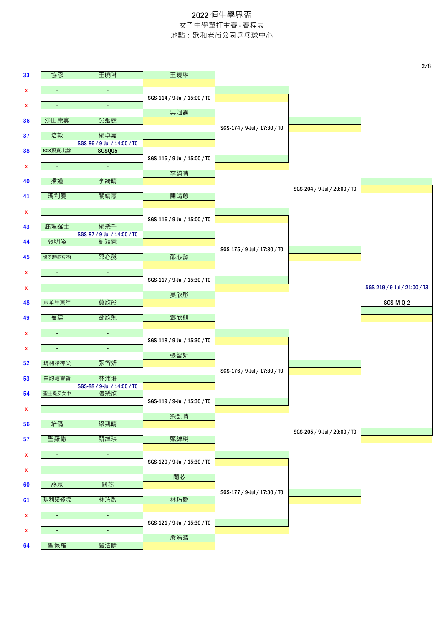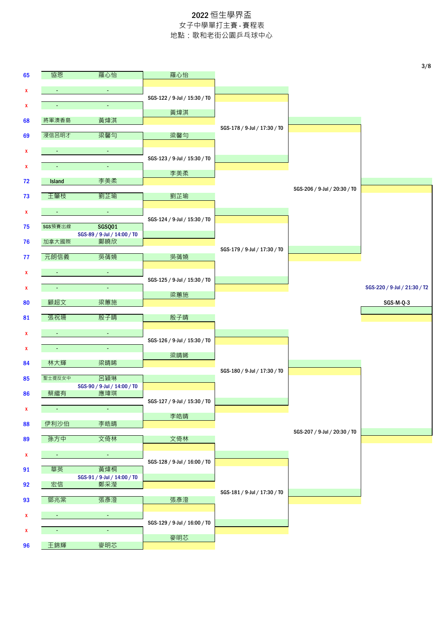|              |                             |                                              |                              |                              |                              | 3/8                          |
|--------------|-----------------------------|----------------------------------------------|------------------------------|------------------------------|------------------------------|------------------------------|
| 65           | 協恩                          | 羅心怡                                          | 羅心怡                          |                              |                              |                              |
| x            | $\bullet$                   | $\sim$                                       |                              |                              |                              |                              |
| x            | $\blacksquare$              | $\omega$                                     | SGS-122 / 9-Jul / 15:30 / T0 |                              |                              |                              |
| 68           | 將軍澳香島                       | 黃煒淇                                          | 黃煒淇                          |                              |                              |                              |
|              |                             |                                              |                              | SGS-178 / 9-Jul / 17:30 / T0 |                              |                              |
| 69           | 浸信呂明才                       | 梁馨勻                                          | 梁馨勻                          |                              |                              |                              |
| x            | $\sim$                      | $\blacksquare$                               | SGS-123 / 9-Jul / 15:30 / T0 |                              |                              |                              |
| X            | ٠                           | $\blacksquare$                               | 李美柔                          |                              |                              |                              |
| 72           | <b>Island</b>               | 李美柔                                          |                              |                              |                              |                              |
| 73           | 王肇枝                         | 劉芷瑜                                          | 劉芷瑜                          |                              | SGS-206 / 9-Jul / 20:30 / T0 |                              |
| X            | $\sim$                      | $\blacksquare$                               |                              |                              |                              |                              |
|              |                             |                                              | SGS-124 / 9-Jul / 15:30 / T0 |                              |                              |                              |
| 75           | SGS預賽出線                     | <b>SGSQ01</b><br>SGS-89 / 9-Jul / 14:00 / TO |                              |                              |                              |                              |
| 76           | 加拿大國際                       | 鄺曉欣                                          |                              | SGS-179 / 9-Jul / 17:30 / T0 |                              |                              |
| 77           | 元朗信義                        | 吳蒨嬈                                          | 吳蒨嬈                          |                              |                              |                              |
| x            | $\sim$                      | $\blacksquare$                               |                              |                              |                              |                              |
| x            | ٠                           | $\blacksquare$                               | SGS-125 / 9-Jul / 15:30 / T0 |                              |                              | SGS-220 / 9-Jul / 21:30 / T2 |
|              | 顧超文                         |                                              | 梁蕙施                          |                              |                              |                              |
| 80           |                             | 梁蕙施                                          |                              |                              |                              | SGS-M-Q-3                    |
| 81           | 張祝珊                         | 殷子晴                                          | 殷子晴                          |                              |                              |                              |
| x            | $\sim$                      | $\blacksquare$                               | SGS-126 / 9-Jul / 15:30 / T0 |                              |                              |                              |
| x            | $\mathcal{L}_{\mathcal{C}}$ | $\blacksquare$                               |                              |                              |                              |                              |
| 84           | 林大輝                         | 梁晴睎                                          | 梁晴睎                          |                              |                              |                              |
| 85           | 聖士提反女中                      | 呂穎琳                                          |                              | SGS-180 / 9-Jul / 17:30 / T0 |                              |                              |
|              |                             | SGS-90 / 9-Jul / 14:00 / T0                  |                              |                              |                              |                              |
| 86           | 蔡繼有                         | 應瑋琪                                          | SGS-127 / 9-Jul / 15:30 / T0 |                              |                              |                              |
| $\mathbf{x}$ | $\blacksquare$              | $\omega$                                     | 李皓晴                          |                              |                              |                              |
| 88           | 伊利沙伯                        | 李皓晴                                          |                              |                              |                              |                              |
| 89           | 孫方中                         | 文倚林                                          | 文倚林                          |                              | SGS-207 / 9-Jul / 20:30 / T0 |                              |
| x            | $\bullet$                   | $\blacksquare$                               |                              |                              |                              |                              |
|              |                             |                                              | SGS-128 / 9-Jul / 16:00 / T0 |                              |                              |                              |
| 91           | 華英                          | 黃煒桐<br>SGS-91 / 9-Jul / 14:00 / TO           |                              |                              |                              |                              |
| 92           | 宏信                          | 鄭采瀅                                          |                              | SGS-181 / 9-Jul / 17:30 / T0 |                              |                              |
| 93           | 鄧兆棠                         | 張彥澄                                          | 張彥澄                          |                              |                              |                              |
| x            | $\sim$                      | $\blacksquare$                               |                              |                              |                              |                              |
| x            | $\blacksquare$              | $\omega$                                     | SGS-129 / 9-Jul / 16:00 / T0 |                              |                              |                              |
|              |                             |                                              | 麥明芯                          |                              |                              |                              |
| 96           | 王錦輝                         | 麥明芯                                          |                              |                              |                              |                              |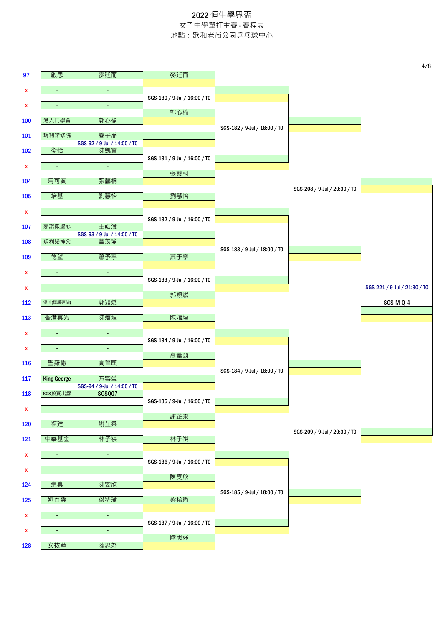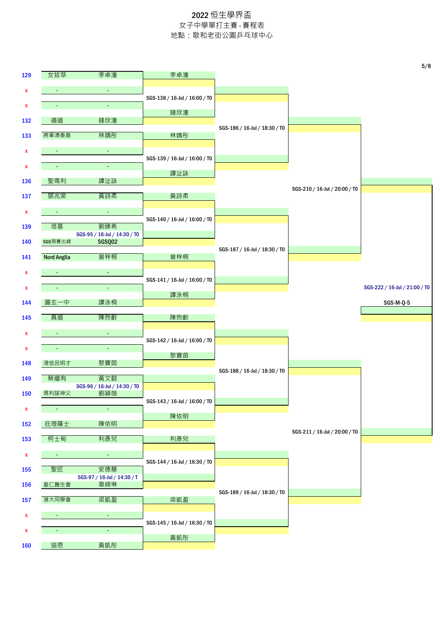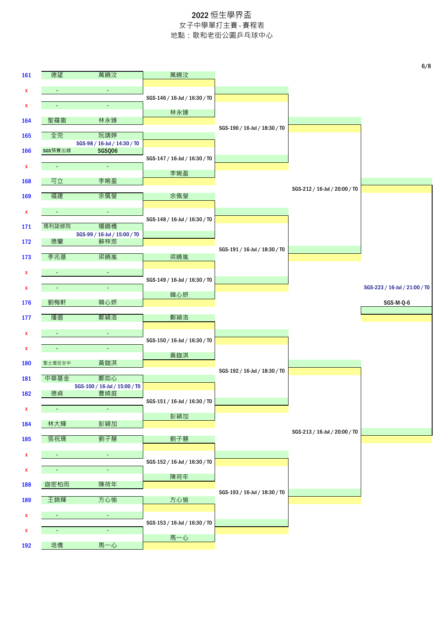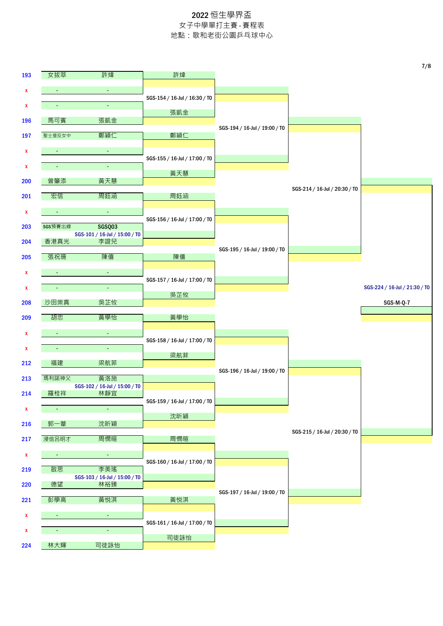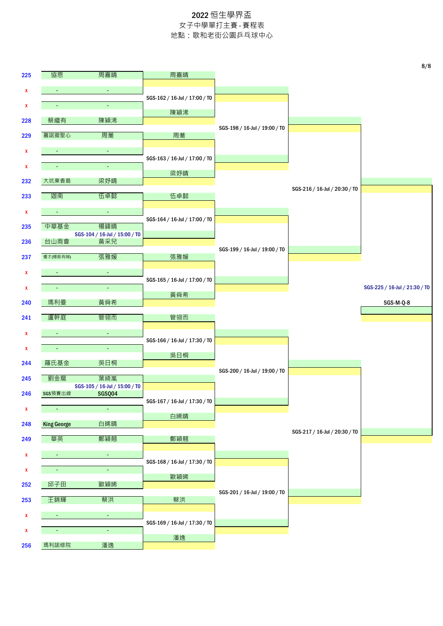